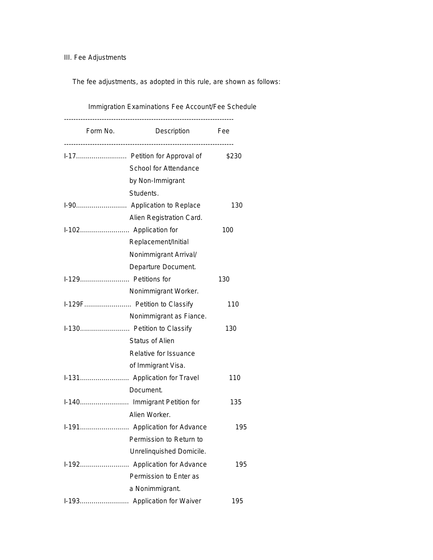III. Fee Adjustments

The fee adjustments, as adopted in this rule, are shown as follows:

| Immigration Examinations Fee Account/Fee Schedule |                               |       |  |
|---------------------------------------------------|-------------------------------|-------|--|
| Form No.                                          | Description<br><b>Fee</b>     |       |  |
|                                                   | I-17 Petition for Approval of | \$230 |  |
|                                                   | School for Attendance         |       |  |
|                                                   | by Non-Immigrant              |       |  |
|                                                   | Students.                     |       |  |
|                                                   |                               | 130   |  |
|                                                   | Alien Registration Card.      |       |  |
|                                                   |                               | 100   |  |
|                                                   | Replacement/Initial           |       |  |
|                                                   | Nonimmigrant Arrival/         |       |  |
|                                                   | Departure Document.           |       |  |
| I-129 Petitions for                               |                               | 130   |  |
|                                                   | Nonimmigrant Worker.          |       |  |
|                                                   | I-129F Petition to Classify   | 110   |  |
|                                                   | Nonimmigrant as Fiance.       |       |  |
|                                                   | I-130 Petition to Classify    | 130   |  |
|                                                   | <b>Status of Alien</b>        |       |  |
|                                                   | Relative for Issuance         |       |  |
|                                                   | of Immigrant Visa.            |       |  |
|                                                   |                               | 110   |  |
|                                                   | Document.                     |       |  |
|                                                   |                               | 135   |  |
|                                                   | Alien Worker.                 |       |  |
|                                                   |                               | 195   |  |
|                                                   | Permission to Return to       |       |  |
|                                                   | Unrelinquished Domicile.      |       |  |
|                                                   |                               | 195   |  |
|                                                   | Permission to Enter as        |       |  |
|                                                   | a Nonimmigrant.               |       |  |
|                                                   |                               | 195   |  |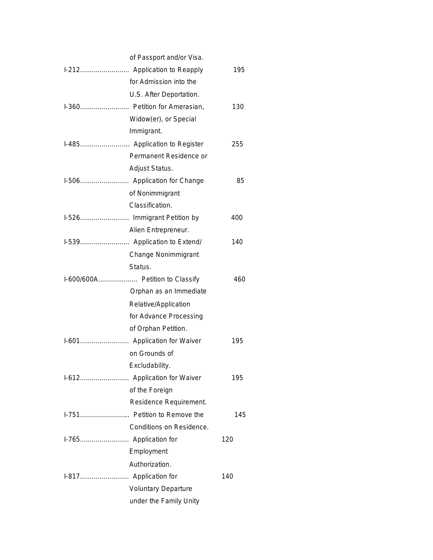| of Passport and/or Visa.        |     |
|---------------------------------|-----|
|                                 | 195 |
| for Admission into the          |     |
| U.S. After Deportation.         |     |
| I-360 Petition for Amerasian,   | 130 |
| Widow(er), or Special           |     |
| Immigrant.                      |     |
| I-485 Application to Register   | 255 |
| Permanent Residence or          |     |
| Adjust Status.                  |     |
|                                 | 85  |
| of Nonimmigrant                 |     |
| Classification.                 |     |
|                                 | 400 |
| Alien Entrepreneur.             |     |
|                                 | 140 |
| Change Nonimmigrant             |     |
| Status.                         |     |
| I-600/600A Petition to Classify | 460 |
| Orphan as an Immediate          |     |
| Relative/Application            |     |
| for Advance Processing          |     |
| of Orphan Petition.             |     |
|                                 | 195 |
| on Grounds of                   |     |
| Excludability.                  |     |
| I-612 Application for Waiver    | 195 |
| of the Foreign                  |     |
| Residence Requirement.          |     |
| I-751 Petition to Remove the    | 145 |
| Conditions on Residence.        |     |
|                                 | 120 |
| Employment                      |     |
| Authorization.                  |     |
|                                 | 140 |
| <b>Voluntary Departure</b>      |     |
| under the Family Unity          |     |